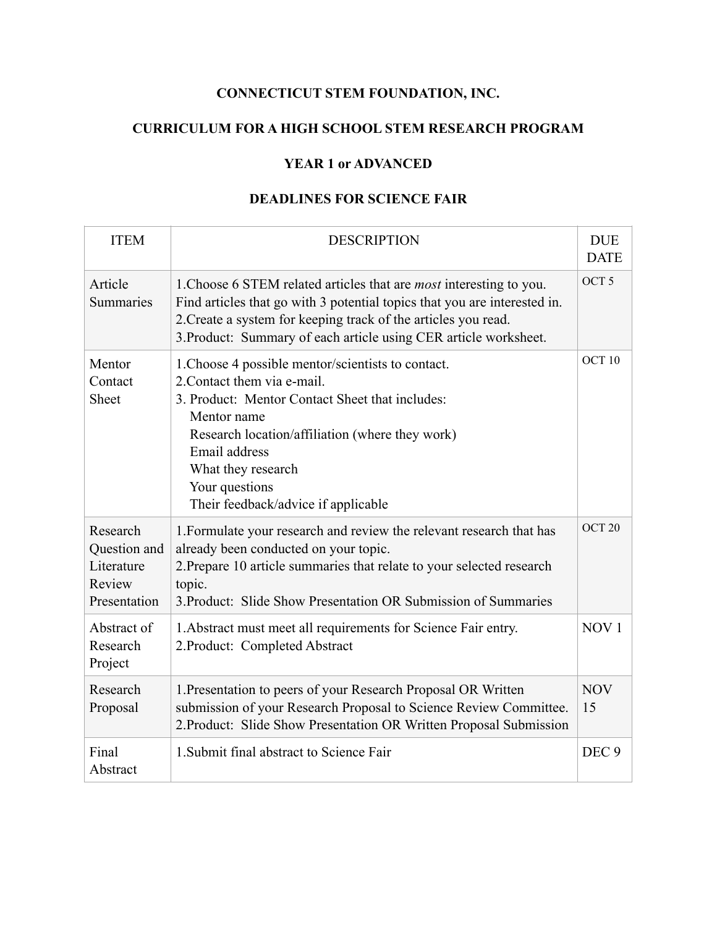## **CONNECTICUT STEM FOUNDATION, INC.**

## **CURRICULUM FOR A HIGH SCHOOL STEM RESEARCH PROGRAM**

## **YEAR 1 or ADVANCED**

## **DEADLINES FOR SCIENCE FAIR**

| <b>ITEM</b>                                                      | <b>DESCRIPTION</b>                                                                                                                                                                                                                                                                                     | <b>DUE</b><br><b>DATE</b> |
|------------------------------------------------------------------|--------------------------------------------------------------------------------------------------------------------------------------------------------------------------------------------------------------------------------------------------------------------------------------------------------|---------------------------|
| Article<br>Summaries                                             | 1. Choose 6 STEM related articles that are <i>most</i> interesting to you.<br>Find articles that go with 3 potential topics that you are interested in.<br>2. Create a system for keeping track of the articles you read.<br>3. Product: Summary of each article using CER article worksheet.          | OCT <sub>5</sub>          |
| Mentor<br>Contact<br><b>Sheet</b>                                | 1. Choose 4 possible mentor/scientists to contact.<br>2. Contact them via e-mail.<br>3. Product: Mentor Contact Sheet that includes:<br>Mentor name<br>Research location/affiliation (where they work)<br>Email address<br>What they research<br>Your questions<br>Their feedback/advice if applicable | OCT 10                    |
| Research<br>Question and<br>Literature<br>Review<br>Presentation | 1. Formulate your research and review the relevant research that has<br>already been conducted on your topic.<br>2. Prepare 10 article summaries that relate to your selected research<br>topic.<br>3. Product: Slide Show Presentation OR Submission of Summaries                                     | OCT <sub>20</sub>         |
| Abstract of<br>Research<br>Project                               | 1. Abstract must meet all requirements for Science Fair entry.<br>2. Product: Completed Abstract                                                                                                                                                                                                       | NOV <sub>1</sub>          |
| Research<br>Proposal                                             | 1. Presentation to peers of your Research Proposal OR Written<br>submission of your Research Proposal to Science Review Committee.<br>2. Product: Slide Show Presentation OR Written Proposal Submission                                                                                               | <b>NOV</b><br>15          |
| Final<br>Abstract                                                | 1. Submit final abstract to Science Fair                                                                                                                                                                                                                                                               | DEC <sub>9</sub>          |